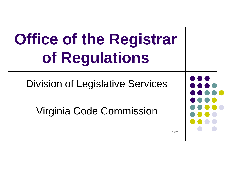Division of Legislative Services

Virginia Code Commission

2017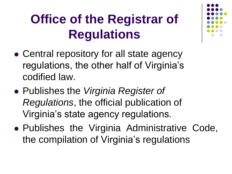- Central repository for all state agency regulations, the other half of Virginia's codified law.
- Publishes the *Virginia Register of Regulations*, the official publication of Virginia's state agency regulations.
- Publishes the Virginia Administrative Code, the compilation of Virginia's regulations

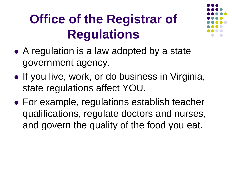

- A regulation is a law adopted by a state government agency.
- If you live, work, or do business in Virginia, state regulations affect YOU.
- For example, regulations establish teacher qualifications, regulate doctors and nurses, and govern the quality of the food you eat.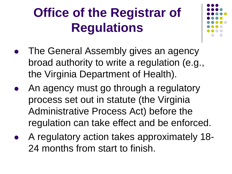

- The General Assembly gives an agency broad authority to write a regulation (e.g., the Virginia Department of Health).
- An agency must go through a regulatory process set out in statute (the Virginia Administrative Process Act) before the regulation can take effect and be enforced.
- A regulatory action takes approximately 18- 24 months from start to finish.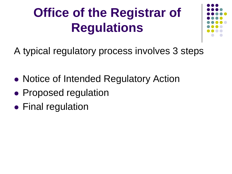

A typical regulatory process involves 3 steps

- Notice of Intended Regulatory Action
- Proposed regulation
- Final regulation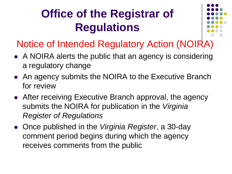

#### Notice of Intended Regulatory Action (NOIRA)

- A NOIRA alerts the public that an agency is considering a regulatory change
- An agency submits the NOIRA to the Executive Branch for review
- After receiving Executive Branch approval, the agency submits the NOIRA for publication in the *Virginia Register of Regulations*
- Once published in the *Virginia Register*, a 30-day comment period begins during which the agency receives comments from the public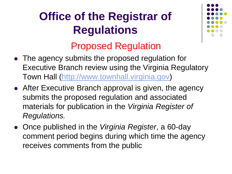

#### Proposed Regulation

- The agency submits the proposed regulation for Executive Branch review using the Virginia Regulatory Town Hall ([http://www.townhall.virginia.gov](http://www.townhall.virginia.gov/))
- After Executive Branch approval is given, the agency submits the proposed regulation and associated materials for publication in the *Virginia Register of Regulations.*
- Once published in the *Virginia Register*, a 60-day comment period begins during which time the agency receives comments from the public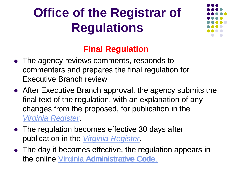

#### **Final Regulation**

- The agency reviews comments, responds to commenters and prepares the final regulation for Executive Branch review
- After Executive Branch approval, the agency submits the final text of the regulation, with an explanation of any changes from the proposed, for publication in the *[Virginia Register](http://register.dls.virginia.gov/issfiles.htm)*. *Virginia*
- The regulation becomes effective 30 days after publication in the **[Virginia Register](http://register.dls.virginia.gov/issfiles.htm)**.
- The day it becomes effective, the regulation appears in the online [Virginia Administrative Code.](http://regulations.legis.virginia.gov/)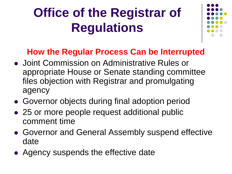

#### **How the Regular Process Can be Interrupted**

- Joint Commission on Administrative Rules or appropriate House or Senate standing committee files objection with Registrar and promulgating agency
- Governor objects during final adoption period
- 25 or more people request additional public comment time
- Governor and General Assembly suspend effective date
- Agency suspends the effective date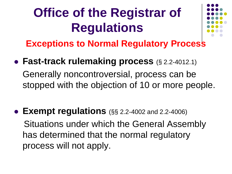

**Exceptions to Normal Regulatory Process**

- **Fast-track rulemaking process** (§ 2.2-4012.1) Generally noncontroversial, process can be stopped with the objection of 10 or more people.
- **Exempt regulations** (§§ 2.2-4002 and 2.2-4006) Situations under which the General Assembly has determined that the normal regulatory process will not apply.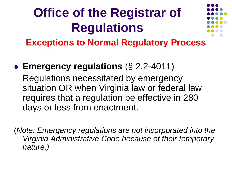

**Exceptions to Normal Regulatory Process**

 **Emergency regulations** (§ 2.2-4011) Regulations necessitated by emergency situation OR when Virginia law or federal law requires that a regulation be effective in 280 days or less from enactment.

(*Note: Emergency regulations are not incorporated into the Virginia Administrative Code because of their temporary nature.)*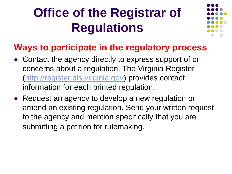

#### **Ways to participate in the regulatory process**

- Contact the agency directly to express support of or concerns about a regulation. The Virginia Register [\(http://register.dls.virginia.gov\)](http://register.dls.virginia.gov/) provides contact information for each printed regulation.
- Request an agency to develop a new regulation or amend an existing regulation. Send your written request to the agency and mention specifically that you are submitting a petition for rulemaking.